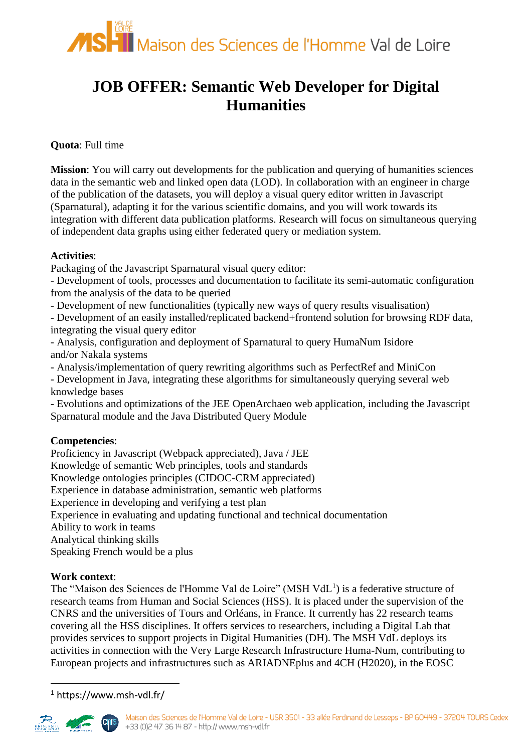

# **JOB OFFER: Semantic Web Developer for Digital Humanities**

### **Quota**: Full time

**Mission**: You will carry out developments for the publication and querying of humanities sciences data in the semantic web and linked open data (LOD). In collaboration with an engineer in charge of the publication of the datasets, you will deploy a visual query editor written in Javascript (Sparnatural), adapting it for the various scientific domains, and you will work towards its integration with different data publication platforms. Research will focus on simultaneous querying of independent data graphs using either federated query or mediation system.

#### **Activities**:

Packaging of the Javascript Sparnatural visual query editor:

- Development of tools, processes and documentation to facilitate its semi-automatic configuration from the analysis of the data to be queried

- Development of new functionalities (typically new ways of query results visualisation)

- Development of an easily installed/replicated backend+frontend solution for browsing RDF data, integrating the visual query editor

- Analysis, configuration and deployment of Sparnatural to query HumaNum Isidore and/or Nakala systems

- Analysis/implementation of query rewriting algorithms such as PerfectRef and MiniCon

- Development in Java, integrating these algorithms for simultaneously querying several web knowledge bases

- Evolutions and optimizations of the JEE OpenArchaeo web application, including the Javascript Sparnatural module and the Java Distributed Query Module

#### **Competencies**:

Proficiency in Javascript (Webpack appreciated), Java / JEE Knowledge of semantic Web principles, tools and standards Knowledge ontologies principles (CIDOC-CRM appreciated) Experience in database administration, semantic web platforms Experience in developing and verifying a test plan Experience in evaluating and updating functional and technical documentation Ability to work in teams Analytical thinking skills Speaking French would be a plus

#### **Work context**:

The "Maison des Sciences de l'Homme Val de Loire" (MSH VdL<sup>1</sup>) is a federative structure of research teams from Human and Social Sciences (HSS). It is placed under the supervision of the CNRS and the universities of Tours and Orléans, in France. It currently has 22 research teams covering all the HSS disciplines. It offers services to researchers, including a Digital Lab that provides services to support projects in Digital Humanities (DH). The MSH VdL deploys its activities in connection with the Very Large Research Infrastructure Huma-Num, contributing to European projects and infrastructures such as ARIADNEplus and 4CH (H2020), in the EOSC

<sup>1</sup> https://www.msh-vdl.fr/



<u>.</u>